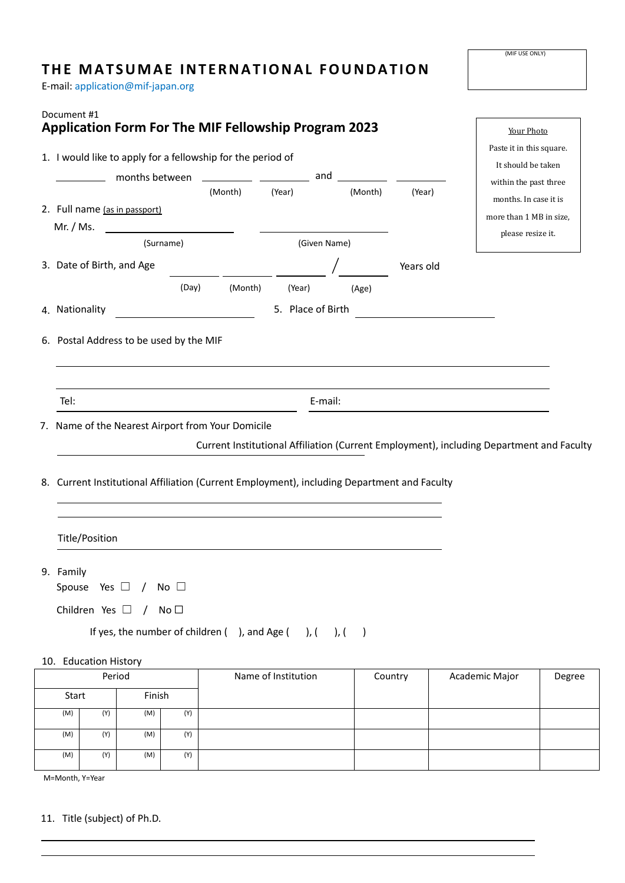## **THE MATSUMAE INTERNATIONAL FOUNDATION**

E-mail: application@mif-japan.org

| Document #1                                                 |                                         |                |                                                   | <b>Application Form For The MIF Fellowship Program 2023</b>          |                                                                                             |                          | Your Photo                                                                               |  |
|-------------------------------------------------------------|-----------------------------------------|----------------|---------------------------------------------------|----------------------------------------------------------------------|---------------------------------------------------------------------------------------------|--------------------------|------------------------------------------------------------------------------------------|--|
| 1. I would like to apply for a fellowship for the period of |                                         |                |                                                   |                                                                      |                                                                                             | Paste it in this square. |                                                                                          |  |
|                                                             |                                         |                |                                                   | months between ____________ ___________ and ________                 |                                                                                             |                          | It should be taken<br>within the past three                                              |  |
|                                                             |                                         |                | (Month)                                           | (Year)                                                               | (Month)                                                                                     | (Year)                   | months. In case it is                                                                    |  |
|                                                             | 2. Full name (as in passport)           |                |                                                   |                                                                      |                                                                                             |                          | more than 1 MB in size,                                                                  |  |
| Mr. / Ms.                                                   |                                         |                | <u> 1980 - Johann Barnett, fransk konge</u>       |                                                                      |                                                                                             |                          | please resize it.                                                                        |  |
|                                                             |                                         | (Surname)      |                                                   |                                                                      | (Given Name)                                                                                |                          |                                                                                          |  |
|                                                             | 3. Date of Birth, and Age               |                |                                                   |                                                                      |                                                                                             | Years old                |                                                                                          |  |
|                                                             |                                         | (Day)          | (Month)                                           | (Year)                                                               | (Age)                                                                                       |                          |                                                                                          |  |
| 4. Nationality                                              |                                         |                | <u> 1980 - Johann Barbara, martin d</u>           | 5. Place of Birth                                                    |                                                                                             |                          |                                                                                          |  |
|                                                             | 6. Postal Address to be used by the MIF |                |                                                   |                                                                      |                                                                                             |                          |                                                                                          |  |
| Tel:                                                        |                                         |                |                                                   |                                                                      |                                                                                             |                          |                                                                                          |  |
|                                                             |                                         |                |                                                   |                                                                      | E-mail:                                                                                     |                          |                                                                                          |  |
|                                                             |                                         |                | 7. Name of the Nearest Airport from Your Domicile |                                                                      |                                                                                             |                          |                                                                                          |  |
|                                                             |                                         |                |                                                   |                                                                      |                                                                                             |                          | Current Institutional Affiliation (Current Employment), including Department and Faculty |  |
|                                                             |                                         |                |                                                   |                                                                      | 8. Current Institutional Affiliation (Current Employment), including Department and Faculty |                          |                                                                                          |  |
|                                                             | Title/Position                          |                |                                                   |                                                                      |                                                                                             |                          |                                                                                          |  |
| 9. Family                                                   | Spouse Yes $\Box$                       | / No $\square$ |                                                   |                                                                      |                                                                                             |                          |                                                                                          |  |
|                                                             | Children Yes $\Box$ / No $\Box$         |                |                                                   |                                                                      |                                                                                             |                          |                                                                                          |  |
|                                                             |                                         |                |                                                   | If yes, the number of children $( )$ , and Age $( )$ , $( )$ , $( )$ |                                                                                             |                          |                                                                                          |  |
|                                                             |                                         |                |                                                   |                                                                      |                                                                                             |                          |                                                                                          |  |
|                                                             | 10. Education History                   |                |                                                   |                                                                      |                                                                                             |                          |                                                                                          |  |
| Period                                                      |                                         |                |                                                   | Name of Institution                                                  |                                                                                             | Country                  | Academic Major<br>Degree                                                                 |  |
| Start                                                       |                                         | Finish         |                                                   |                                                                      |                                                                                             |                          |                                                                                          |  |
| (M)                                                         | (Y)                                     | (Y)<br>(M)     |                                                   |                                                                      |                                                                                             |                          |                                                                                          |  |
| (M)                                                         | (Y)                                     | (M)<br>(Y)     |                                                   |                                                                      |                                                                                             |                          |                                                                                          |  |

M=Month, Y=Year

11. Title (subject) of Ph.D.

(M) (Y) (M) (Y)

(MIF USE ONLY)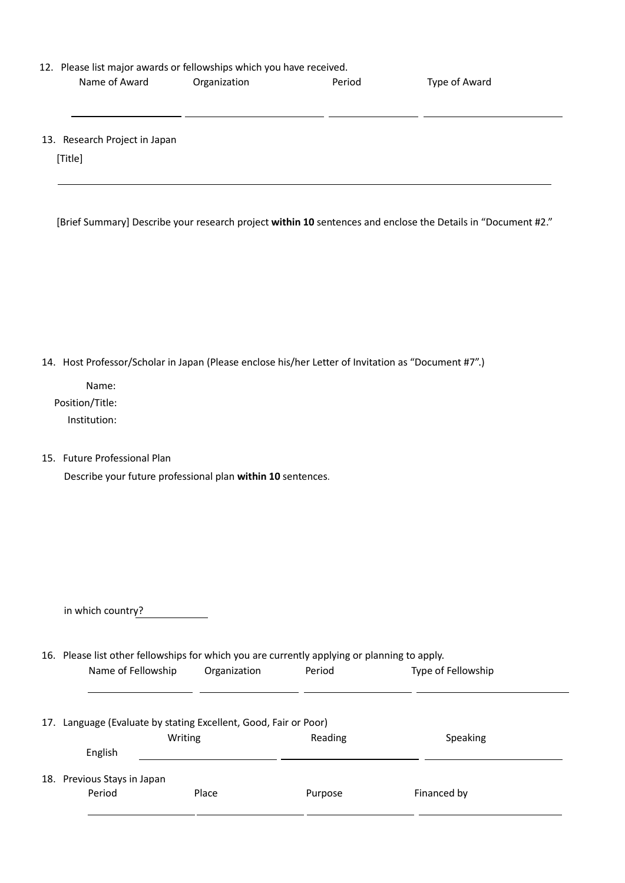| 12. Please list major awards or fellowships which you have received. |              |        |               |  |  |
|----------------------------------------------------------------------|--------------|--------|---------------|--|--|
| Name of Award                                                        | Organization | Period | Type of Award |  |  |

13. Research Project in Japan

[Title]

[Brief Summary] Describe your research project **within 10** sentences and enclose the Details in "Document #2."

14. Host Professor/Scholar in Japan (Please enclose his/her Letter of Invitation as "Document #7".)

Name: Position/Title: Institution:

15. Future Professional Plan

Describe your future professional plan **within 10** sentences.

in which country?

16. Please list other fellowships for which you are currently applying or planning to apply. Name of Fellowship Organization Period Type of Fellowship

| 17. Language (Evaluate by stating Excellent, Good, Fair or Poor) |         |         |             |  |  |  |
|------------------------------------------------------------------|---------|---------|-------------|--|--|--|
|                                                                  | Writing | Reading | Speaking    |  |  |  |
| English                                                          |         |         |             |  |  |  |
| 18. Previous Stays in Japan<br>Period                            | Place   | Purpose | Financed by |  |  |  |